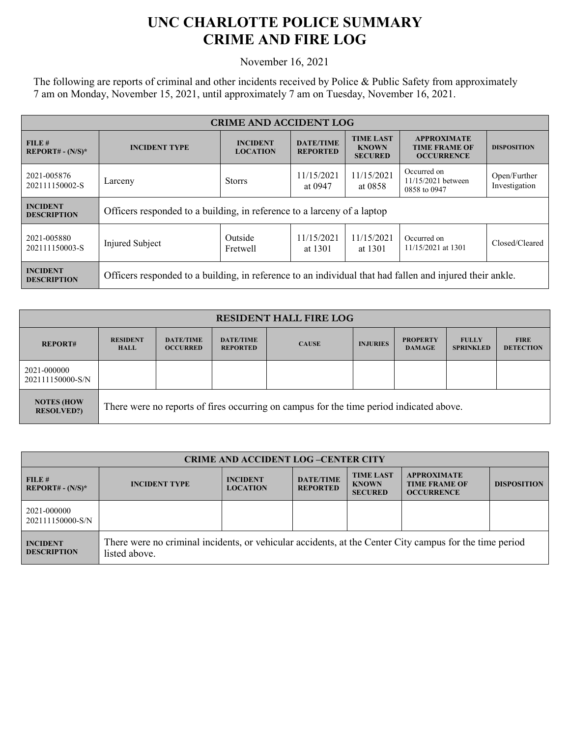## **UNC CHARLOTTE POLICE SUMMARY CRIME AND FIRE LOG**

November 16, 2021

The following are reports of criminal and other incidents received by Police & Public Safety from approximately 7 am on Monday, November 15, 2021, until approximately 7 am on Tuesday, November 16, 2021.

| <b>CRIME AND ACCIDENT LOG</b>         |                                                                                                          |                                    |                                     |                                                    |                                                                 |                               |
|---------------------------------------|----------------------------------------------------------------------------------------------------------|------------------------------------|-------------------------------------|----------------------------------------------------|-----------------------------------------------------------------|-------------------------------|
| FILE#<br>$REPORT# - (N/S)*$           | <b>INCIDENT TYPE</b>                                                                                     | <b>INCIDENT</b><br><b>LOCATION</b> | <b>DATE/TIME</b><br><b>REPORTED</b> | <b>TIME LAST</b><br><b>KNOWN</b><br><b>SECURED</b> | <b>APPROXIMATE</b><br><b>TIME FRAME OF</b><br><b>OCCURRENCE</b> | <b>DISPOSITION</b>            |
| 2021-005876<br>202111150002-S         | Larceny                                                                                                  | <b>Storrs</b>                      | 11/15/2021<br>at 0947               | 11/15/2021<br>at 0858                              | Occurred on<br>11/15/2021 between<br>0858 to 0947               | Open/Further<br>Investigation |
| <b>INCIDENT</b><br><b>DESCRIPTION</b> | Officers responded to a building, in reference to a larceny of a laptop                                  |                                    |                                     |                                                    |                                                                 |                               |
| 2021-005880<br>202111150003-S         | Injured Subject                                                                                          | Outside<br>Fretwell                | 11/15/2021<br>at 1301               | 11/15/2021<br>at 1301                              | Occurred on<br>11/15/2021 at 1301                               | Closed/Cleared                |
| <b>INCIDENT</b><br><b>DESCRIPTION</b> | Officers responded to a building, in reference to an individual that had fallen and injured their ankle. |                                    |                                     |                                                    |                                                                 |                               |

| <b>RESIDENT HALL FIRE LOG</b>          |                                                                                         |                                     |                                     |              |                 |                                  |                                  |                                 |
|----------------------------------------|-----------------------------------------------------------------------------------------|-------------------------------------|-------------------------------------|--------------|-----------------|----------------------------------|----------------------------------|---------------------------------|
| <b>REPORT#</b>                         | <b>RESIDENT</b><br><b>HALL</b>                                                          | <b>DATE/TIME</b><br><b>OCCURRED</b> | <b>DATE/TIME</b><br><b>REPORTED</b> | <b>CAUSE</b> | <b>INJURIES</b> | <b>PROPERTY</b><br><b>DAMAGE</b> | <b>FULLY</b><br><b>SPRINKLED</b> | <b>FIRE</b><br><b>DETECTION</b> |
| 2021-000000<br>202111150000-S/N        |                                                                                         |                                     |                                     |              |                 |                                  |                                  |                                 |
| <b>NOTES (HOW</b><br><b>RESOLVED?)</b> | There were no reports of fires occurring on campus for the time period indicated above. |                                     |                                     |              |                 |                                  |                                  |                                 |

| <b>CRIME AND ACCIDENT LOG-CENTER CITY</b> |                                                                                                                          |                                    |                                     |                                                    |                                                                 |                    |  |
|-------------------------------------------|--------------------------------------------------------------------------------------------------------------------------|------------------------------------|-------------------------------------|----------------------------------------------------|-----------------------------------------------------------------|--------------------|--|
| FILE#<br>$REPORT# - (N/S)*$               | <b>INCIDENT TYPE</b>                                                                                                     | <b>INCIDENT</b><br><b>LOCATION</b> | <b>DATE/TIME</b><br><b>REPORTED</b> | <b>TIME LAST</b><br><b>KNOWN</b><br><b>SECURED</b> | <b>APPROXIMATE</b><br><b>TIME FRAME OF</b><br><b>OCCURRENCE</b> | <b>DISPOSITION</b> |  |
| 2021-000000<br>202111150000-S/N           |                                                                                                                          |                                    |                                     |                                                    |                                                                 |                    |  |
| <b>INCIDENT</b><br><b>DESCRIPTION</b>     | There were no criminal incidents, or vehicular accidents, at the Center City campus for the time period<br>listed above. |                                    |                                     |                                                    |                                                                 |                    |  |